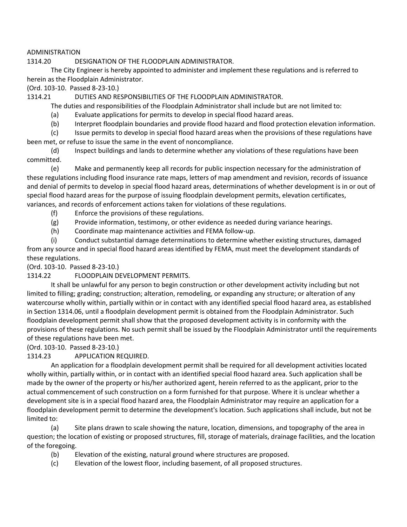## ADMINISTRATION

#### 1314.20 DESIGNATION OF THE FLOODPLAIN ADMINISTRATOR.

The City Engineer is hereby appointed to administer and implement these regulations and is referred to herein as the Floodplain Administrator.

(Ord. 103-10. Passed 8-23-10.)

1314.21 DUTIES AND RESPONSIBILITIES OF THE FLOODPLAIN ADMINISTRATOR.

The duties and responsibilities of the Floodplain Administrator shall include but are not limited to:

(a) Evaluate applications for permits to develop in special flood hazard areas.

(b) Interpret floodplain boundaries and provide flood hazard and flood protection elevation information.

(c) Issue permits to develop in special flood hazard areas when the provisions of these regulations have been met, or refuse to issue the same in the event of noncompliance.

(d) Inspect buildings and lands to determine whether any violations of these regulations have been committed.

(e) Make and permanently keep all records for public inspection necessary for the administration of these regulations including flood insurance rate maps, letters of map amendment and revision, records of issuance and denial of permits to develop in special flood hazard areas, determinations of whether development is in or out of special flood hazard areas for the purpose of issuing floodplain development permits, elevation certificates, variances, and records of enforcement actions taken for violations of these regulations.

- (f) Enforce the provisions of these regulations.
- (g) Provide information, testimony, or other evidence as needed during variance hearings.
- (h) Coordinate map maintenance activities and FEMA follow-up.

(i) Conduct substantial damage determinations to determine whether existing structures, damaged from any source and in special flood hazard areas identified by FEMA, must meet the development standards of these regulations.

(Ord. 103-10. Passed 8-23-10.)

1314.22 FLOODPLAIN DEVELOPMENT PERMITS.

It shall be unlawful for any person to begin construction or other development activity including but not limited to filling; grading; construction; alteration, remodeling, or expanding any structure; or alteration of any watercourse wholly within, partially within or in contact with any identified special flood hazard area, as established in Section 1314.06, until a floodplain development permit is obtained from the Floodplain Administrator. Such floodplain development permit shall show that the proposed development activity is in conformity with the provisions of these regulations. No such permit shall be issued by the Floodplain Administrator until the requirements of these regulations have been met.

(Ord. 103-10. Passed 8-23-10.)

1314.23 APPLICATION REQUIRED.

An application for a floodplain development permit shall be required for all development activities located wholly within, partially within, or in contact with an identified special flood hazard area. Such application shall be made by the owner of the property or his/her authorized agent, herein referred to as the applicant, prior to the actual commencement of such construction on a form furnished for that purpose. Where it is unclear whether a development site is in a special flood hazard area, the Floodplain Administrator may require an application for a floodplain development permit to determine the development's location. Such applications shall include, but not be limited to:

(a) Site plans drawn to scale showing the nature, location, dimensions, and topography of the area in question; the location of existing or proposed structures, fill, storage of materials, drainage facilities, and the location of the foregoing.

- (b) Elevation of the existing, natural ground where structures are proposed.
- (c) Elevation of the lowest floor, including basement, of all proposed structures.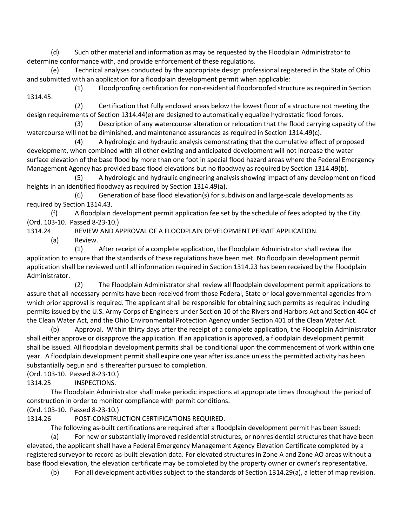(d) Such other material and information as may be requested by the Floodplain Administrator to determine conformance with, and provide enforcement of these regulations.

(e) Technical analyses conducted by the appropriate design professional registered in the State of Ohio and submitted with an application for a floodplain development permit when applicable:

(1) Floodproofing certification for non-residential floodproofed structure as required in Section 1314.45.

(2) Certification that fully enclosed areas below the lowest floor of a structure not meeting the design requirements of Section 1314.44(e) are designed to automatically equalize hydrostatic flood forces.

(3) Description of any watercourse alteration or relocation that the flood carrying capacity of the watercourse will not be diminished, and maintenance assurances as required in Section 1314.49(c).

(4) A hydrologic and hydraulic analysis demonstrating that the cumulative effect of proposed development, when combined with all other existing and anticipated development will not increase the water surface elevation of the base flood by more than one foot in special flood hazard areas where the Federal Emergency Management Agency has provided base flood elevations but no floodway as required by Section 1314.49(b).

(5) A hydrologic and hydraulic engineering analysis showing impact of any development on flood heights in an identified floodway as required by Section 1314.49(a).

(6) Generation of base flood elevation(s) for subdivision and large-scale developments as required by Section 1314.43.

(f) A floodplain development permit application fee set by the schedule of fees adopted by the City. (Ord. 103-10. Passed 8-23-10.)

1314.24 REVIEW AND APPROVAL OF A FLOODPLAIN DEVELOPMENT PERMIT APPLICATION.

(a) Review.

(1) After receipt of a complete application, the Floodplain Administrator shall review the application to ensure that the standards of these regulations have been met. No floodplain development permit application shall be reviewed until all information required in Section 1314.23 has been received by the Floodplain Administrator.

(2) The Floodplain Administrator shall review all floodplain development permit applications to assure that all necessary permits have been received from those Federal, State or local governmental agencies from which prior approval is required. The applicant shall be responsible for obtaining such permits as required including permits issued by the U.S. Army Corps of Engineers under Section 10 of the Rivers and Harbors Act and Section 404 of the Clean Water Act, and the Ohio Environmental Protection Agency under Section 401 of the Clean Water Act.

(b) Approval. Within thirty days after the receipt of a complete application, the Floodplain Administrator shall either approve or disapprove the application. If an application is approved, a floodplain development permit shall be issued. All floodplain development permits shall be conditional upon the commencement of work within one year. A floodplain development permit shall expire one year after issuance unless the permitted activity has been substantially begun and is thereafter pursued to completion.

(Ord. 103-10. Passed 8-23-10.)

1314.25 INSPECTIONS.

The Floodplain Administrator shall make periodic inspections at appropriate times throughout the period of construction in order to monitor compliance with permit conditions.

(Ord. 103-10. Passed 8-23-10.)

1314.26 POST-CONSTRUCTION CERTIFICATIONS REQUIRED.

The following as-built certifications are required after a floodplain development permit has been issued:

(a) For new or substantially improved residential structures, or nonresidential structures that have been elevated, the applicant shall have a Federal Emergency Management Agency Elevation Certificate completed by a registered surveyor to record as-built elevation data. For elevated structures in Zone A and Zone AO areas without a base flood elevation, the elevation certificate may be completed by the property owner or owner's representative.

(b) For all development activities subject to the standards of Section 1314.29(a), a letter of map revision.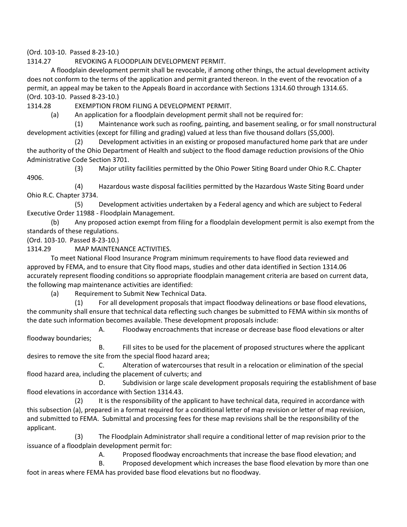(Ord. 103-10. Passed 8-23-10.)

1314.27 REVOKING A FLOODPLAIN DEVELOPMENT PERMIT.

A floodplain development permit shall be revocable, if among other things, the actual development activity does not conform to the terms of the application and permit granted thereon. In the event of the revocation of a permit, an appeal may be taken to the Appeals Board in accordance with Sections 1314.60 through 1314.65. (Ord. 103-10. Passed 8-23-10.)

1314.28 EXEMPTION FROM FILING A DEVELOPMENT PERMIT.

(a) An application for a floodplain development permit shall not be required for:

(1) Maintenance work such as roofing, painting, and basement sealing, or for small nonstructural development activities (except for filling and grading) valued at less than five thousand dollars (\$5,000).

(2) Development activities in an existing or proposed manufactured home park that are under the authority of the Ohio Department of Health and subject to the flood damage reduction provisions of the Ohio Administrative Code Section 3701.

(3) Major utility facilities permitted by the Ohio Power Siting Board under Ohio R.C. Chapter 4906.

(4) Hazardous waste disposal facilities permitted by the Hazardous Waste Siting Board under Ohio R.C. Chapter 3734.

(5) Development activities undertaken by a Federal agency and which are subject to Federal Executive Order 11988 - Floodplain Management.

(b) Any proposed action exempt from filing for a floodplain development permit is also exempt from the standards of these regulations.

(Ord. 103-10. Passed 8-23-10.)

1314.29 MAP MAINTENANCE ACTIVITIES.

To meet National Flood Insurance Program minimum requirements to have flood data reviewed and approved by FEMA, and to ensure that City flood maps, studies and other data identified in Section 1314.06 accurately represent flooding conditions so appropriate floodplain management criteria are based on current data, the following map maintenance activities are identified:

(a) Requirement to Submit New Technical Data.

(1) For all development proposals that impact floodway delineations or base flood elevations, the community shall ensure that technical data reflecting such changes be submitted to FEMA within six months of the date such information becomes available. These development proposals include:

A. Floodway encroachments that increase or decrease base flood elevations or alter floodway boundaries;

B. Fill sites to be used for the placement of proposed structures where the applicant desires to remove the site from the special flood hazard area;

C. Alteration of watercourses that result in a relocation or elimination of the special flood hazard area, including the placement of culverts; and

D. Subdivision or large scale development proposals requiring the establishment of base flood elevations in accordance with Section 1314.43.

(2) It is the responsibility of the applicant to have technical data, required in accordance with this subsection (a), prepared in a format required for a conditional letter of map revision or letter of map revision, and submitted to FEMA. Submittal and processing fees for these map revisions shall be the responsibility of the applicant.

(3) The Floodplain Administrator shall require a conditional letter of map revision prior to the issuance of a floodplain development permit for:

A. Proposed floodway encroachments that increase the base flood elevation; and

B. Proposed development which increases the base flood elevation by more than one foot in areas where FEMA has provided base flood elevations but no floodway.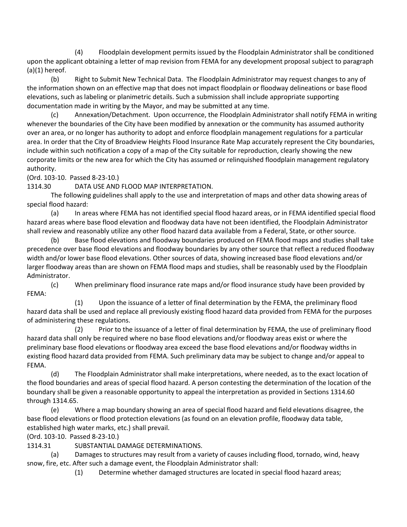(4) Floodplain development permits issued by the Floodplain Administrator shall be conditioned upon the applicant obtaining a letter of map revision from FEMA for any development proposal subject to paragraph  $(a)(1)$  hereof.

(b) Right to Submit New Technical Data. The Floodplain Administrator may request changes to any of the information shown on an effective map that does not impact floodplain or floodway delineations or base flood elevations, such as labeling or planimetric details. Such a submission shall include appropriate supporting documentation made in writing by the Mayor, and may be submitted at any time.

(c) Annexation/Detachment. Upon occurrence, the Floodplain Administrator shall notify FEMA in writing whenever the boundaries of the City have been modified by annexation or the community has assumed authority over an area, or no longer has authority to adopt and enforce floodplain management regulations for a particular area. In order that the City of Broadview Heights Flood Insurance Rate Map accurately represent the City boundaries, include within such notification a copy of a map of the City suitable for reproduction, clearly showing the new corporate limits or the new area for which the City has assumed or relinquished floodplain management regulatory authority.

(Ord. 103-10. Passed 8-23-10.)

1314.30 DATA USE AND FLOOD MAP INTERPRETATION.

The following guidelines shall apply to the use and interpretation of maps and other data showing areas of special flood hazard:

(a) In areas where FEMA has not identified special flood hazard areas, or in FEMA identified special flood hazard areas where base flood elevation and floodway data have not been identified, the Floodplain Administrator shall review and reasonably utilize any other flood hazard data available from a Federal, State, or other source.

(b) Base flood elevations and floodway boundaries produced on FEMA flood maps and studies shall take precedence over base flood elevations and floodway boundaries by any other source that reflect a reduced floodway width and/or lower base flood elevations. Other sources of data, showing increased base flood elevations and/or larger floodway areas than are shown on FEMA flood maps and studies, shall be reasonably used by the Floodplain Administrator.

(c) When preliminary flood insurance rate maps and/or flood insurance study have been provided by FEMA:

(1) Upon the issuance of a letter of final determination by the FEMA, the preliminary flood hazard data shall be used and replace all previously existing flood hazard data provided from FEMA for the purposes of administering these regulations.

(2) Prior to the issuance of a letter of final determination by FEMA, the use of preliminary flood hazard data shall only be required where no base flood elevations and/or floodway areas exist or where the preliminary base flood elevations or floodway area exceed the base flood elevations and/or floodway widths in existing flood hazard data provided from FEMA. Such preliminary data may be subject to change and/or appeal to FEMA.

(d) The Floodplain Administrator shall make interpretations, where needed, as to the exact location of the flood boundaries and areas of special flood hazard. A person contesting the determination of the location of the boundary shall be given a reasonable opportunity to appeal the interpretation as provided in Sections 1314.60 through 1314.65.

(e) Where a map boundary showing an area of special flood hazard and field elevations disagree, the base flood elevations or flood protection elevations (as found on an elevation profile, floodway data table, established high water marks, etc.) shall prevail.

(Ord. 103-10. Passed 8-23-10.)

1314.31 SUBSTANTIAL DAMAGE DETERMINATIONS.

(a) Damages to structures may result from a variety of causes including flood, tornado, wind, heavy snow, fire, etc. After such a damage event, the Floodplain Administrator shall:

(1) Determine whether damaged structures are located in special flood hazard areas;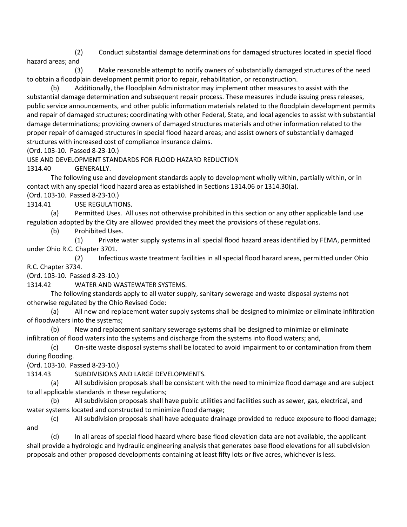(2) Conduct substantial damage determinations for damaged structures located in special flood hazard areas; and

(3) Make reasonable attempt to notify owners of substantially damaged structures of the need to obtain a floodplain development permit prior to repair, rehabilitation, or reconstruction.

(b) Additionally, the Floodplain Administrator may implement other measures to assist with the substantial damage determination and subsequent repair process. These measures include issuing press releases, public service announcements, and other public information materials related to the floodplain development permits and repair of damaged structures; coordinating with other Federal, State, and local agencies to assist with substantial damage determinations; providing owners of damaged structures materials and other information related to the proper repair of damaged structures in special flood hazard areas; and assist owners of substantially damaged structures with increased cost of compliance insurance claims.

(Ord. 103-10. Passed 8-23-10.)

USE AND DEVELOPMENT STANDARDS FOR FLOOD HAZARD REDUCTION

1314.40 GENERALLY.

The following use and development standards apply to development wholly within, partially within, or in contact with any special flood hazard area as established in Sections 1314.06 or 1314.30(a).

(Ord. 103-10. Passed 8-23-10.)

1314.41 USE REGULATIONS.

(a) Permitted Uses. All uses not otherwise prohibited in this section or any other applicable land use regulation adopted by the City are allowed provided they meet the provisions of these regulations.

(b) Prohibited Uses.

(1) Private water supply systems in all special flood hazard areas identified by FEMA, permitted under Ohio R.C. Chapter 3701.

(2) Infectious waste treatment facilities in all special flood hazard areas, permitted under Ohio R.C. Chapter 3734.

(Ord. 103-10. Passed 8-23-10.)

1314.42 WATER AND WASTEWATER SYSTEMS.

The following standards apply to all water supply, sanitary sewerage and waste disposal systems not otherwise regulated by the Ohio Revised Code:

(a) All new and replacement water supply systems shall be designed to minimize or eliminate infiltration of floodwaters into the systems;

(b) New and replacement sanitary sewerage systems shall be designed to minimize or eliminate infiltration of flood waters into the systems and discharge from the systems into flood waters; and,

(c) On-site waste disposal systems shall be located to avoid impairment to or contamination from them during flooding.

(Ord. 103-10. Passed 8-23-10.)

1314.43 SUBDIVISIONS AND LARGE DEVELOPMENTS.

(a) All subdivision proposals shall be consistent with the need to minimize flood damage and are subject to all applicable standards in these regulations;

(b) All subdivision proposals shall have public utilities and facilities such as sewer, gas, electrical, and water systems located and constructed to minimize flood damage;

(c) All subdivision proposals shall have adequate drainage provided to reduce exposure to flood damage; and

(d) In all areas of special flood hazard where base flood elevation data are not available, the applicant shall provide a hydrologic and hydraulic engineering analysis that generates base flood elevations for all subdivision proposals and other proposed developments containing at least fifty lots or five acres, whichever is less.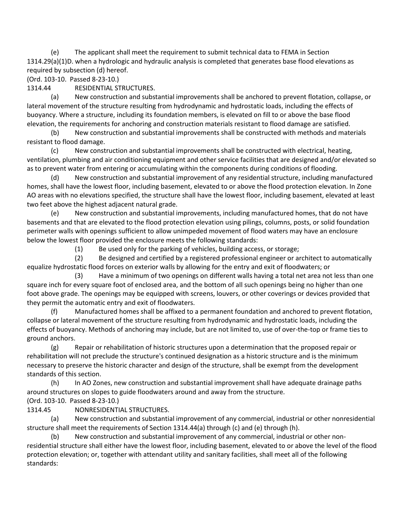(e) The applicant shall meet the requirement to submit technical data to FEMA in Section 1314.29(a)(1)D. when a hydrologic and hydraulic analysis is completed that generates base flood elevations as required by subsection (d) hereof.

(Ord. 103-10. Passed 8-23-10.)

1314.44 RESIDENTIAL STRUCTURES.

(a) New construction and substantial improvements shall be anchored to prevent flotation, collapse, or lateral movement of the structure resulting from hydrodynamic and hydrostatic loads, including the effects of buoyancy. Where a structure, including its foundation members, is elevated on fill to or above the base flood elevation, the requirements for anchoring and construction materials resistant to flood damage are satisfied.

(b) New construction and substantial improvements shall be constructed with methods and materials resistant to flood damage.

(c) New construction and substantial improvements shall be constructed with electrical, heating, ventilation, plumbing and air conditioning equipment and other service facilities that are designed and/or elevated so as to prevent water from entering or accumulating within the components during conditions of flooding.

(d) New construction and substantial improvement of any residential structure, including manufactured homes, shall have the lowest floor, including basement, elevated to or above the flood protection elevation. In Zone AO areas with no elevations specified, the structure shall have the lowest floor, including basement, elevated at least two feet above the highest adjacent natural grade.

(e) New construction and substantial improvements, including manufactured homes, that do not have basements and that are elevated to the flood protection elevation using pilings, columns, posts, or solid foundation perimeter walls with openings sufficient to allow unimpeded movement of flood waters may have an enclosure below the lowest floor provided the enclosure meets the following standards:

(1) Be used only for the parking of vehicles, building access, or storage;

(2) Be designed and certified by a registered professional engineer or architect to automatically equalize hydrostatic flood forces on exterior walls by allowing for the entry and exit of floodwaters; or

(3) Have a minimum of two openings on different walls having a total net area not less than one square inch for every square foot of enclosed area, and the bottom of all such openings being no higher than one foot above grade. The openings may be equipped with screens, louvers, or other coverings or devices provided that they permit the automatic entry and exit of floodwaters.

(f) Manufactured homes shall be affixed to a permanent foundation and anchored to prevent flotation, collapse or lateral movement of the structure resulting from hydrodynamic and hydrostatic loads, including the effects of buoyancy. Methods of anchoring may include, but are not limited to, use of over-the-top or frame ties to ground anchors.

(g) Repair or rehabilitation of historic structures upon a determination that the proposed repair or rehabilitation will not preclude the structure's continued designation as a historic structure and is the minimum necessary to preserve the historic character and design of the structure, shall be exempt from the development standards of this section.

(h) In AO Zones, new construction and substantial improvement shall have adequate drainage paths around structures on slopes to guide floodwaters around and away from the structure.

(Ord. 103-10. Passed 8-23-10.)

1314.45 NONRESIDENTIAL STRUCTURES.

(a) New construction and substantial improvement of any commercial, industrial or other nonresidential structure shall meet the requirements of Section 1314.44(a) through (c) and (e) through (h).

(b) New construction and substantial improvement of any commercial, industrial or other nonresidential structure shall either have the lowest floor, including basement, elevated to or above the level of the flood protection elevation; or, together with attendant utility and sanitary facilities, shall meet all of the following standards: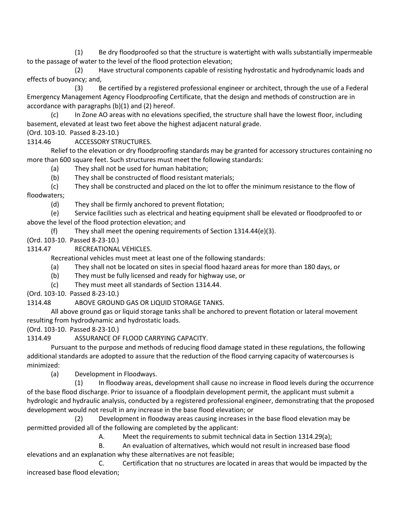(1) Be dry floodproofed so that the structure is watertight with walls substantially impermeable to the passage of water to the level of the flood protection elevation;

(2) Have structural components capable of resisting hydrostatic and hydrodynamic loads and effects of buoyancy; and,

(3) Be certified by a registered professional engineer or architect, through the use of a Federal Emergency Management Agency Floodproofing Certificate, that the design and methods of construction are in accordance with paragraphs (b)(1) and (2) hereof.

(c) In Zone AO areas with no elevations specified, the structure shall have the lowest floor, including basement, elevated at least two feet above the highest adjacent natural grade.

(Ord. 103-10. Passed 8-23-10.)

1314.46 ACCESSORY STRUCTURES.

Relief to the elevation or dry floodproofing standards may be granted for accessory structures containing no more than 600 square feet. Such structures must meet the following standards:

(a) They shall not be used for human habitation;

(b) They shall be constructed of flood resistant materials;

(c) They shall be constructed and placed on the lot to offer the minimum resistance to the flow of floodwaters;

(d) They shall be firmly anchored to prevent flotation;

(e) Service facilities such as electrical and heating equipment shall be elevated or floodproofed to or above the level of the flood protection elevation; and

(f) They shall meet the opening requirements of Section 1314.44(e)(3).

(Ord. 103-10. Passed 8-23-10.)

1314.47 RECREATIONAL VEHICLES.

Recreational vehicles must meet at least one of the following standards:

(a) They shall not be located on sites in special flood hazard areas for more than 180 days, or

(b) They must be fully licensed and ready for highway use, or

(c) They must meet all standards of Section 1314.44.

(Ord. 103-10. Passed 8-23-10.)

1314.48 ABOVE GROUND GAS OR LIQUID STORAGE TANKS.

All above ground gas or liquid storage tanks shall be anchored to prevent flotation or lateral movement resulting from hydrodynamic and hydrostatic loads.

(Ord. 103-10. Passed 8-23-10.)

1314.49 ASSURANCE OF FLOOD CARRYING CAPACITY.

Pursuant to the purpose and methods of reducing flood damage stated in these regulations, the following additional standards are adopted to assure that the reduction of the flood carrying capacity of watercourses is minimized:

(a) Development in Floodways.

(1) In floodway areas, development shall cause no increase in flood levels during the occurrence of the base flood discharge. Prior to issuance of a floodplain development permit, the applicant must submit a hydrologic and hydraulic analysis, conducted by a registered professional engineer, demonstrating that the proposed development would not result in any increase in the base flood elevation; or

(2) Development in floodway areas causing increases in the base flood elevation may be permitted provided all of the following are completed by the applicant:

A. Meet the requirements to submit technical data in Section 1314.29(a);

B. An evaluation of alternatives, which would not result in increased base flood elevations and an explanation why these alternatives are not feasible;

C. Certification that no structures are located in areas that would be impacted by the increased base flood elevation;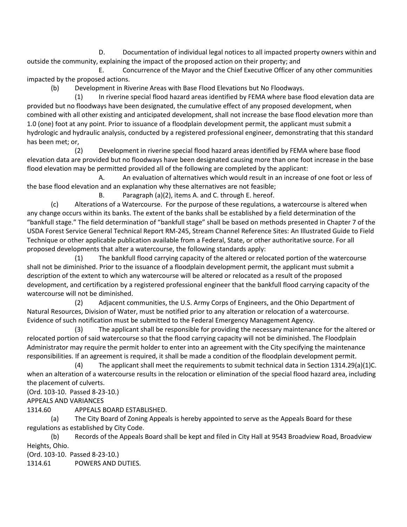D. Documentation of individual legal notices to all impacted property owners within and outside the community, explaining the impact of the proposed action on their property; and

E. Concurrence of the Mayor and the Chief Executive Officer of any other communities impacted by the proposed actions.

(b) Development in Riverine Areas with Base Flood Elevations but No Floodways.

(1) In riverine special flood hazard areas identified by FEMA where base flood elevation data are provided but no floodways have been designated, the cumulative effect of any proposed development, when combined with all other existing and anticipated development, shall not increase the base flood elevation more than 1.0 (one) foot at any point. Prior to issuance of a floodplain development permit, the applicant must submit a hydrologic and hydraulic analysis, conducted by a registered professional engineer, demonstrating that this standard has been met; or,

(2) Development in riverine special flood hazard areas identified by FEMA where base flood elevation data are provided but no floodways have been designated causing more than one foot increase in the base flood elevation may be permitted provided all of the following are completed by the applicant:

A. An evaluation of alternatives which would result in an increase of one foot or less of the base flood elevation and an explanation why these alternatives are not feasible;

B. Paragraph (a)(2), items A. and C. through E. hereof.

(c) Alterations of a Watercourse. For the purpose of these regulations, a watercourse is altered when any change occurs within its banks. The extent of the banks shall be established by a field determination of the "bankfull stage." The field determination of "bankfull stage" shall be based on methods presented in Chapter 7 of the USDA Forest Service General Technical Report RM-245, Stream Channel Reference Sites: An Illustrated Guide to Field Technique or other applicable publication available from a Federal, State, or other authoritative source. For all proposed developments that alter a watercourse, the following standards apply:

(1) The bankfull flood carrying capacity of the altered or relocated portion of the watercourse shall not be diminished. Prior to the issuance of a floodplain development permit, the applicant must submit a description of the extent to which any watercourse will be altered or relocated as a result of the proposed development, and certification by a registered professional engineer that the bankfull flood carrying capacity of the watercourse will not be diminished.

(2) Adjacent communities, the U.S. Army Corps of Engineers, and the Ohio Department of Natural Resources, Division of Water, must be notified prior to any alteration or relocation of a watercourse. Evidence of such notification must be submitted to the Federal Emergency Management Agency.

(3) The applicant shall be responsible for providing the necessary maintenance for the altered or relocated portion of said watercourse so that the flood carrying capacity will not be diminished. The Floodplain Administrator may require the permit holder to enter into an agreement with the City specifying the maintenance responsibilities. If an agreement is required, it shall be made a condition of the floodplain development permit.

(4) The applicant shall meet the requirements to submit technical data in Section 1314.29(a)(1)C. when an alteration of a watercourse results in the relocation or elimination of the special flood hazard area, including the placement of culverts.

(Ord. 103-10. Passed 8-23-10.)

APPEALS AND VARIANCES

1314.60 APPEALS BOARD ESTABLISHED.

(a) The City Board of Zoning Appeals is hereby appointed to serve as the Appeals Board for these regulations as established by City Code.

(b) Records of the Appeals Board shall be kept and filed in City Hall at 9543 Broadview Road, Broadview Heights, Ohio.

(Ord. 103-10. Passed 8-23-10.) 1314.61 POWERS AND DUTIES.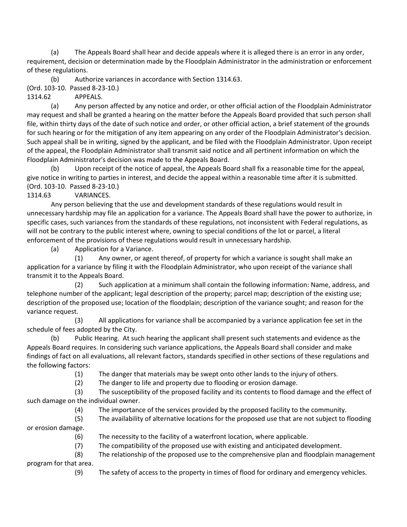(a) The Appeals Board shall hear and decide appeals where it is alleged there is an error in any order, requirement, decision or determination made by the Floodplain Administrator in the administration or enforcement of these regulations.

(b) Authorize variances in accordance with Section 1314.63.

(Ord. 103-10. Passed 8-23-10.)

1314.62 APPEALS.

(a) Any person affected by any notice and order, or other official action of the Floodplain Administrator may request and shall be granted a hearing on the matter before the Appeals Board provided that such person shall file, within thirty days of the date of such notice and order, or other official action, a brief statement of the grounds for such hearing or for the mitigation of any item appearing on any order of the Floodplain Administrator's decision. Such appeal shall be in writing, signed by the applicant, and be filed with the Floodplain Administrator. Upon receipt of the appeal, the Floodplain Administrator shall transmit said notice and all pertinent information on which the Floodplain Administrator's decision was made to the Appeals Board.

(b) Upon receipt of the notice of appeal, the Appeals Board shall fix a reasonable time for the appeal, give notice in writing to parties in interest, and decide the appeal within a reasonable time after it is submitted. (Ord. 103-10. Passed 8-23-10.)

# 1314.63 VARIANCES.

Any person believing that the use and development standards of these regulations would result in unnecessary hardship may file an application for a variance. The Appeals Board shall have the power to authorize, in specific cases, such variances from the standards of these regulations, not inconsistent with Federal regulations, as will not be contrary to the public interest where, owning to special conditions of the lot or parcel, a literal enforcement of the provisions of these regulations would result in unnecessary hardship.

(a) Application for a Variance.

(1) Any owner, or agent thereof, of property for which a variance is sought shall make an application for a variance by filing it with the Floodplain Administrator, who upon receipt of the variance shall transmit it to the Appeals Board.

(2) Such application at a minimum shall contain the following information: Name, address, and telephone number of the applicant; legal description of the property; parcel map; description of the existing use; description of the proposed use; location of the floodplain; description of the variance sought; and reason for the variance request.

(3) All applications for variance shall be accompanied by a variance application fee set in the schedule of fees adopted by the City.

(b) Public Hearing. At such hearing the applicant shall present such statements and evidence as the Appeals Board requires. In considering such variance applications, the Appeals Board shall consider and make findings of fact on all evaluations, all relevant factors, standards specified in other sections of these regulations and the following factors:

(1) The danger that materials may be swept onto other lands to the injury of others.

(2) The danger to life and property due to flooding or erosion damage.

(3) The susceptibility of the proposed facility and its contents to flood damage and the effect of such damage on the individual owner.

(4) The importance of the services provided by the proposed facility to the community.

(5) The availability of alternative locations for the proposed use that are not subject to flooding or erosion damage.

(6) The necessity to the facility of a waterfront location, where applicable.

(7) The compatibility of the proposed use with existing and anticipated development.

(8) The relationship of the proposed use to the comprehensive plan and floodplain management

program for that area.

(9) The safety of access to the property in times of flood for ordinary and emergency vehicles.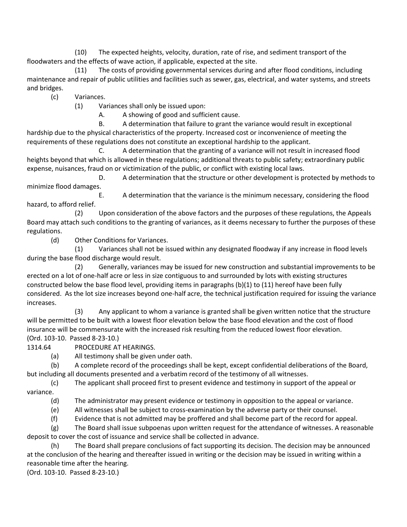(10) The expected heights, velocity, duration, rate of rise, and sediment transport of the floodwaters and the effects of wave action, if applicable, expected at the site.

(11) The costs of providing governmental services during and after flood conditions, including maintenance and repair of public utilities and facilities such as sewer, gas, electrical, and water systems, and streets and bridges.

(c) Variances.

(1) Variances shall only be issued upon:

A. A showing of good and sufficient cause.

B. A determination that failure to grant the variance would result in exceptional hardship due to the physical characteristics of the property. Increased cost or inconvenience of meeting the requirements of these regulations does not constitute an exceptional hardship to the applicant.

A determination that the granting of a variance will not result in increased flood heights beyond that which is allowed in these regulations; additional threats to public safety; extraordinary public expense, nuisances, fraud on or victimization of the public, or conflict with existing local laws.

D. A determination that the structure or other development is protected by methods to minimize flood damages.

E. A determination that the variance is the minimum necessary, considering the flood hazard, to afford relief.

(2) Upon consideration of the above factors and the purposes of these regulations, the Appeals Board may attach such conditions to the granting of variances, as it deems necessary to further the purposes of these regulations.

(d) Other Conditions for Variances.

(1) Variances shall not be issued within any designated floodway if any increase in flood levels during the base flood discharge would result.

(2) Generally, variances may be issued for new construction and substantial improvements to be erected on a lot of one-half acre or less in size contiguous to and surrounded by lots with existing structures constructed below the base flood level, providing items in paragraphs (b)(1) to (11) hereof have been fully considered. As the lot size increases beyond one-half acre, the technical justification required for issuing the variance increases.

(3) Any applicant to whom a variance is granted shall be given written notice that the structure will be permitted to be built with a lowest floor elevation below the base flood elevation and the cost of flood insurance will be commensurate with the increased risk resulting from the reduced lowest floor elevation. (Ord. 103-10. Passed 8-23-10.)

1314.64 PROCEDURE AT HEARINGS.

(a) All testimony shall be given under oath.

(b) A complete record of the proceedings shall be kept, except confidential deliberations of the Board, but including all documents presented and a verbatim record of the testimony of all witnesses.

(c) The applicant shall proceed first to present evidence and testimony in support of the appeal or variance.

(d) The administrator may present evidence or testimony in opposition to the appeal or variance.

(e) All witnesses shall be subject to cross-examination by the adverse party or their counsel.

(f) Evidence that is not admitted may be proffered and shall become part of the record for appeal.

(g) The Board shall issue subpoenas upon written request for the attendance of witnesses. A reasonable deposit to cover the cost of issuance and service shall be collected in advance.

The Board shall prepare conclusions of fact supporting its decision. The decision may be announced at the conclusion of the hearing and thereafter issued in writing or the decision may be issued in writing within a reasonable time after the hearing.

(Ord. 103-10. Passed 8-23-10.)